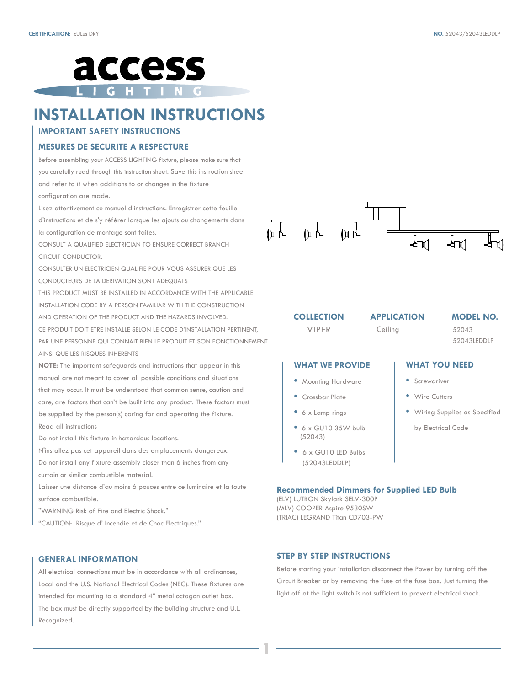

# **INSTALLATION INSTRUCTIONS**

# **IMPORTANT SAFETY INSTRUCTIONS**

## **MESURES DE SECURITE A RESPECTURE**

Before assembling your ACCESS LIGHTING fixture, please make sure that you carefully read through this instruction sheet. Save this instruction sheet and refer to it when additions to or changes in the fixture configuration are made.

Lisez attentivement ce manuel d'instructions. Enregistrer cette feuille d'instructions et de s'y référer lorsque les ajouts ou changements dans la configuration de montage sont faites.

CONSULT A QUALIFIED ELECTRICIAN TO ENSURE CORRECT BRANCH CIRCUIT CONDUCTOR.

CONSULTER UN ELECTRICIEN QUALIFIE POUR VOUS ASSURER QUE LES CONDUCTEURS DE LA DERIVATION SONT ADEQUATS

THIS PRODUCT MUST BE INSTALLED IN ACCORDANCE WITH THE APPLICABLE INSTALLATION CODE BY A PERSON FAMILIAR WITH THE CONSTRUCTION AND OPERATION OF THE PRODUCT AND THE HAZARDS INVOLVED. CE PRODUIT DOIT ETRE INSTALLE SELON LE CODE D'INSTALLATION PERTINENT, PAR UNE PERSONNE QUI CONNAIT BIEN LE PRODUIT ET SON FONCTIONNEMENT AINSI QUE LES RISQUES INHERENTS

**NOTE:** The important safeguards and instructions that appear in this manual are not meant to cover all possible conditions and situations that may occur. It must be understood that common sense, caution and care, are factors that can't be built into any product. These factors must be supplied by the person(s) caring for and operating the fixture. Read all instructions

Do not install this fixture in hazardous locations.

N'installez pas cet appareil dans des emplacements dangereux. Do not install any fixture assembly closer than 6 inches from any curtain or similar combustible material.

Laisser une distance d'au moins 6 pouces entre ce luminaire et la toute surface combustible.

"WARNING Risk of Fire and Electric Shock."

"CAUTION: Risque d' Incendie et de Choc Electriques."

## **GENERAL INFORMATION**

All electrical connections must be in accordance with all ordinances, Local and the U.S. National Electrical Codes (NEC). These fixtures are intended for mounting to a standard 4" metal octagon outlet box. The box must be directly supported by the building structure and U.L. Recognized.



**COLLECTION** 

VIPER Ceiling

**APPLICATION MODEL NO.**

52043 52043LEDDLP

**WHAT YOU NEED**

by Electrical Code

**•** Wiring Supplies as Specified

**•** Screwdriver **•** Wire Cutters

## **WHAT WE PROVIDE**

- Mounting Hardware
- Crossbar Plate
- 6 x Lamp rings
- 6 x GU10 35W bulb (52043)
- 6 x GU10 LED Bulbs (52043LEDDLP)

#### **Recommended Dimmers for Supplied LED Bulb**

(ELV) LUTRON Skylark SELV-300P (MLV) COOPER Aspire 9530SW (TRIAC) LEGRAND Titan CD703-PW

## **STEP BY STEP INSTRUCTIONS**

**1**

Before starting your installation disconnect the Power by turning off the Circuit Breaker or by removing the fuse at the fuse box. Just turning the light off at the light switch is not sufficient to prevent electrical shock.